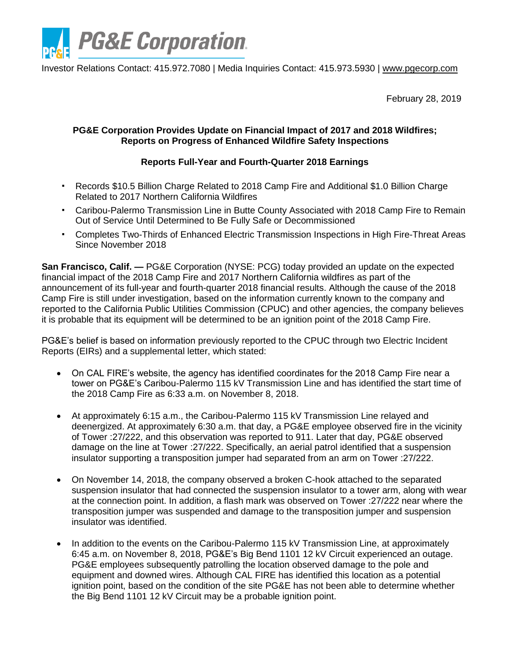

Investor Relations Contact: 415.972.7080 | Media Inquiries Contact: 415.973.5930 | [www.pgecorp.com](http://www.pgecorp.com/)

February 28, 2019

## **PG&E Corporation Provides Update on Financial Impact of 2017 and 2018 Wildfires; Reports on Progress of Enhanced Wildfire Safety Inspections**

# **Reports Full-Year and Fourth-Quarter 2018 Earnings**

- Records \$10.5 Billion Charge Related to 2018 Camp Fire and Additional \$1.0 Billion Charge Related to 2017 Northern California Wildfires
- Caribou-Palermo Transmission Line in Butte County Associated with 2018 Camp Fire to Remain Out of Service Until Determined to Be Fully Safe or Decommissioned
- Completes Two-Thirds of Enhanced Electric Transmission Inspections in High Fire-Threat Areas Since November 2018

**San Francisco, Calif. —** PG&E Corporation (NYSE: PCG) today provided an update on the expected financial impact of the 2018 Camp Fire and 2017 Northern California wildfires as part of the announcement of its full-year and fourth-quarter 2018 financial results. Although the cause of the 2018 Camp Fire is still under investigation, based on the information currently known to the company and reported to the California Public Utilities Commission (CPUC) and other agencies, the company believes it is probable that its equipment will be determined to be an ignition point of the 2018 Camp Fire.

PG&E's belief is based on information previously reported to the CPUC through two Electric Incident Reports (EIRs) and a supplemental letter, which stated:

- On CAL FIRE's website, the agency has identified coordinates for the 2018 Camp Fire near a tower on PG&E's Caribou-Palermo 115 kV Transmission Line and has identified the start time of the 2018 Camp Fire as 6:33 a.m. on November 8, 2018.
- At approximately 6:15 a.m., the Caribou-Palermo 115 kV Transmission Line relayed and deenergized. At approximately 6:30 a.m. that day, a PG&E employee observed fire in the vicinity of Tower :27/222, and this observation was reported to 911. Later that day, PG&E observed damage on the line at Tower :27/222. Specifically, an aerial patrol identified that a suspension insulator supporting a transposition jumper had separated from an arm on Tower :27/222.
- On November 14, 2018, the company observed a broken C-hook attached to the separated suspension insulator that had connected the suspension insulator to a tower arm, along with wear at the connection point. In addition, a flash mark was observed on Tower :27/222 near where the transposition jumper was suspended and damage to the transposition jumper and suspension insulator was identified.
- In addition to the events on the Caribou-Palermo 115 kV Transmission Line, at approximately 6:45 a.m. on November 8, 2018, PG&E's Big Bend 1101 12 kV Circuit experienced an outage. PG&E employees subsequently patrolling the location observed damage to the pole and equipment and downed wires. Although CAL FIRE has identified this location as a potential ignition point, based on the condition of the site PG&E has not been able to determine whether the Big Bend 1101 12 kV Circuit may be a probable ignition point.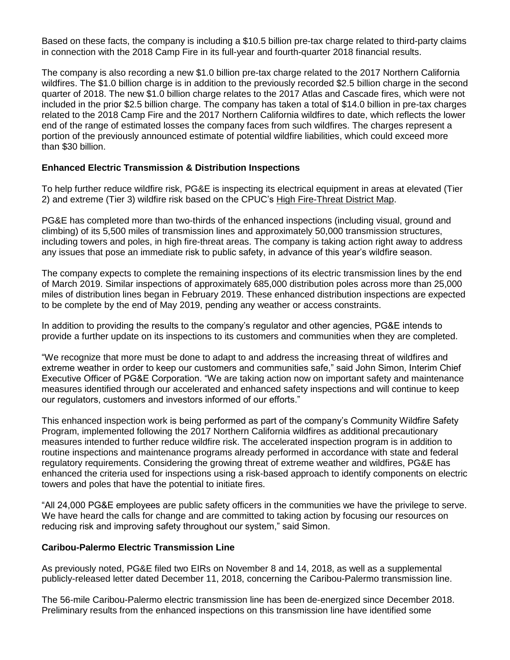Based on these facts, the company is including a \$10.5 billion pre-tax charge related to third-party claims in connection with the 2018 Camp Fire in its full-year and fourth-quarter 2018 financial results.

The company is also recording a new \$1.0 billion pre-tax charge related to the 2017 Northern California wildfires. The \$1.0 billion charge is in addition to the previously recorded \$2.5 billion charge in the second quarter of 2018. The new \$1.0 billion charge relates to the 2017 Atlas and Cascade fires, which were not included in the prior \$2.5 billion charge. The company has taken a total of \$14.0 billion in pre-tax charges related to the 2018 Camp Fire and the 2017 Northern California wildfires to date, which reflects the lower end of the range of estimated losses the company faces from such wildfires. The charges represent a portion of the previously announced estimate of potential wildfire liabilities, which could exceed more than \$30 billion.

## **Enhanced Electric Transmission & Distribution Inspections**

To help further reduce wildfire risk, PG&E is inspecting its electrical equipment in areas at elevated (Tier 2) and extreme (Tier 3) wildfire risk based on the CPUC's [High Fire-Threat District Map.](http://www.cpuc.ca.gov/FireThreatMaps/)

PG&E has completed more than two-thirds of the enhanced inspections (including visual, ground and climbing) of its 5,500 miles of transmission lines and approximately 50,000 transmission structures, including towers and poles, in high fire-threat areas. The company is taking action right away to address any issues that pose an immediate risk to public safety, in advance of this year's wildfire season.

The company expects to complete the remaining inspections of its electric transmission lines by the end of March 2019. Similar inspections of approximately 685,000 distribution poles across more than 25,000 miles of distribution lines began in February 2019. These enhanced distribution inspections are expected to be complete by the end of May 2019, pending any weather or access constraints.

In addition to providing the results to the company's regulator and other agencies, PG&E intends to provide a further update on its inspections to its customers and communities when they are completed.

"We recognize that more must be done to adapt to and address the increasing threat of wildfires and extreme weather in order to keep our customers and communities safe," said John Simon, Interim Chief Executive Officer of PG&E Corporation. "We are taking action now on important safety and maintenance measures identified through our accelerated and enhanced safety inspections and will continue to keep our regulators, customers and investors informed of our efforts."

This enhanced inspection work is being performed as part of the company's Community Wildfire Safety Program, implemented following the 2017 Northern California wildfires as additional precautionary measures intended to further reduce wildfire risk. The accelerated inspection program is in addition to routine inspections and maintenance programs already performed in accordance with state and federal regulatory requirements. Considering the growing threat of extreme weather and wildfires, PG&E has enhanced the criteria used for inspections using a risk-based approach to identify components on electric towers and poles that have the potential to initiate fires.

"All 24,000 PG&E employees are public safety officers in the communities we have the privilege to serve. We have heard the calls for change and are committed to taking action by focusing our resources on reducing risk and improving safety throughout our system," said Simon.

#### **Caribou-Palermo Electric Transmission Line**

As previously noted, PG&E filed two EIRs on November 8 and 14, 2018, as well as a supplemental publicly-released letter dated December 11, 2018, concerning the Caribou-Palermo transmission line.

The 56-mile Caribou-Palermo electric transmission line has been de-energized since December 2018. Preliminary results from the enhanced inspections on this transmission line have identified some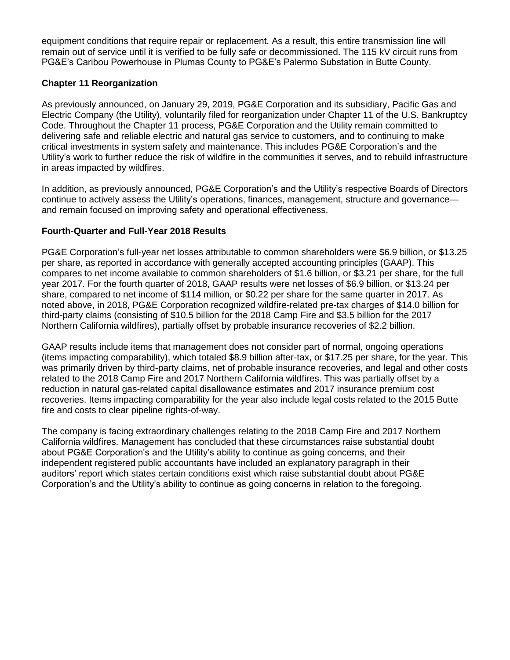equipment conditions that require repair or replacement. As a result, this entire transmission line will remain out of service until it is verified to be fully safe or decommissioned. The 115 kV circuit runs from PG&E's Caribou Powerhouse in Plumas County to PG&E's Palermo Substation in Butte County.

#### **Chapter 11 Reorganization**

As previously announced, on January 29, 2019, PG&E Corporation and its subsidiary, Pacific Gas and Electric Company (the Utility), voluntarily filed for reorganization under Chapter 11 of the U.S. Bankruptcy Code. Throughout the Chapter 11 process, PG&E Corporation and the Utility remain committed to delivering safe and reliable electric and natural gas service to customers, and to continuing to make critical investments in system safety and maintenance. This includes PG&E Corporation's and the Utility's work to further reduce the risk of wildfire in the communities it serves, and to rebuild infrastructure in areas impacted by wildfires.

In addition, as previously announced, PG&E Corporation's and the Utility's respective Boards of Directors continue to actively assess the Utility's operations, finances, management, structure and governance and remain focused on improving safety and operational effectiveness.

## **Fourth-Quarter and Full-Year 2018 Results**

PG&E Corporation's full-year net losses attributable to common shareholders were \$6.9 billion, or \$13.25 per share, as reported in accordance with generally accepted accounting principles (GAAP). This compares to net income available to common shareholders of \$1.6 billion, or \$3.21 per share, for the full year 2017. For the fourth quarter of 2018, GAAP results were net losses of \$6.9 billion, or \$13.24 per share, compared to net income of \$114 million, or \$0.22 per share for the same quarter in 2017. As noted above, in 2018, PG&E Corporation recognized wildfire-related pre-tax charges of \$14.0 billion for third-party claims (consisting of \$10.5 billion for the 2018 Camp Fire and \$3.5 billion for the 2017 Northern California wildfires), partially offset by probable insurance recoveries of \$2.2 billion.

GAAP results include items that management does not consider part of normal, ongoing operations (items impacting comparability), which totaled \$8.9 billion after-tax, or \$17.25 per share, for the year. This was primarily driven by third-party claims, net of probable insurance recoveries, and legal and other costs related to the 2018 Camp Fire and 2017 Northern California wildfires. This was partially offset by a reduction in natural gas-related capital disallowance estimates and 2017 insurance premium cost recoveries. Items impacting comparability for the year also include legal costs related to the 2015 Butte fire and costs to clear pipeline rights-of-way.

The company is facing extraordinary challenges relating to the 2018 Camp Fire and 2017 Northern California wildfires. Management has concluded that these circumstances raise substantial doubt about PG&E Corporation's and the Utility's ability to continue as going concerns, and their independent registered public accountants have included an explanatory paragraph in their auditors' report which states certain conditions exist which raise substantial doubt about PG&E Corporation's and the Utility's ability to continue as going concerns in relation to the foregoing.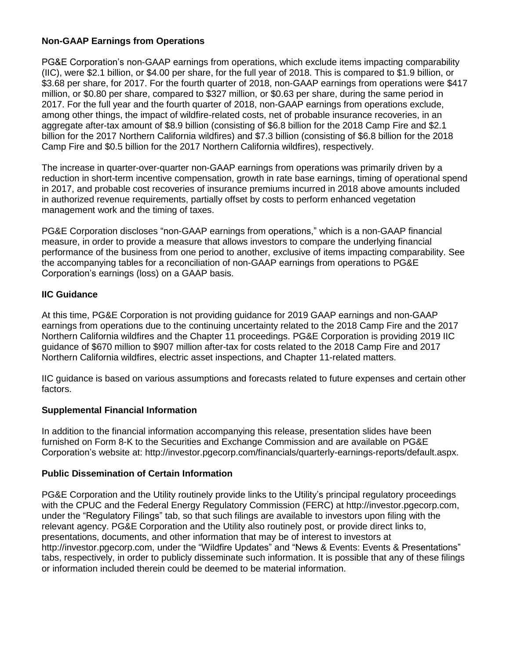## **Non-GAAP Earnings from Operations**

PG&E Corporation's non-GAAP earnings from operations, which exclude items impacting comparability (IIC), were \$2.1 billion, or \$4.00 per share, for the full year of 2018. This is compared to \$1.9 billion, or \$3.68 per share, for 2017. For the fourth quarter of 2018, non-GAAP earnings from operations were \$417 million, or \$0.80 per share, compared to \$327 million, or \$0.63 per share, during the same period in 2017. For the full year and the fourth quarter of 2018, non-GAAP earnings from operations exclude, among other things, the impact of wildfire-related costs, net of probable insurance recoveries, in an aggregate after-tax amount of \$8.9 billion (consisting of \$6.8 billion for the 2018 Camp Fire and \$2.1 billion for the 2017 Northern California wildfires) and \$7.3 billion (consisting of \$6.8 billion for the 2018 Camp Fire and \$0.5 billion for the 2017 Northern California wildfires), respectively.

The increase in quarter-over-quarter non-GAAP earnings from operations was primarily driven by a reduction in short-term incentive compensation, growth in rate base earnings, timing of operational spend in 2017, and probable cost recoveries of insurance premiums incurred in 2018 above amounts included in authorized revenue requirements, partially offset by costs to perform enhanced vegetation management work and the timing of taxes.

PG&E Corporation discloses "non-GAAP earnings from operations," which is a non-GAAP financial measure, in order to provide a measure that allows investors to compare the underlying financial performance of the business from one period to another, exclusive of items impacting comparability. See the accompanying tables for a reconciliation of non-GAAP earnings from operations to PG&E Corporation's earnings (loss) on a GAAP basis.

## **IIC Guidance**

At this time, PG&E Corporation is not providing guidance for 2019 GAAP earnings and non-GAAP earnings from operations due to the continuing uncertainty related to the 2018 Camp Fire and the 2017 Northern California wildfires and the Chapter 11 proceedings. PG&E Corporation is providing 2019 IIC guidance of \$670 million to \$907 million after-tax for costs related to the 2018 Camp Fire and 2017 Northern California wildfires, electric asset inspections, and Chapter 11-related matters.

IIC guidance is based on various assumptions and forecasts related to future expenses and certain other factors.

# **Supplemental Financial Information**

In addition to the financial information accompanying this release, presentation slides have been furnished on Form 8-K to the Securities and Exchange Commission and are available on PG&E Corporation's website at: http://investor.pgecorp.com/financials/quarterly-earnings-reports/default.aspx.

#### **Public Dissemination of Certain Information**

PG&E Corporation and the Utility routinely provide links to the Utility's principal regulatory proceedings with the CPUC and the Federal Energy Regulatory Commission (FERC) at http://investor.pgecorp.com, under the "Regulatory Filings" tab, so that such filings are available to investors upon filing with the relevant agency. PG&E Corporation and the Utility also routinely post, or provide direct links to, presentations, documents, and other information that may be of interest to investors at http://investor.pgecorp.com, under the "Wildfire Updates" and "News & Events: Events & Presentations" tabs, respectively, in order to publicly disseminate such information. It is possible that any of these filings or information included therein could be deemed to be material information.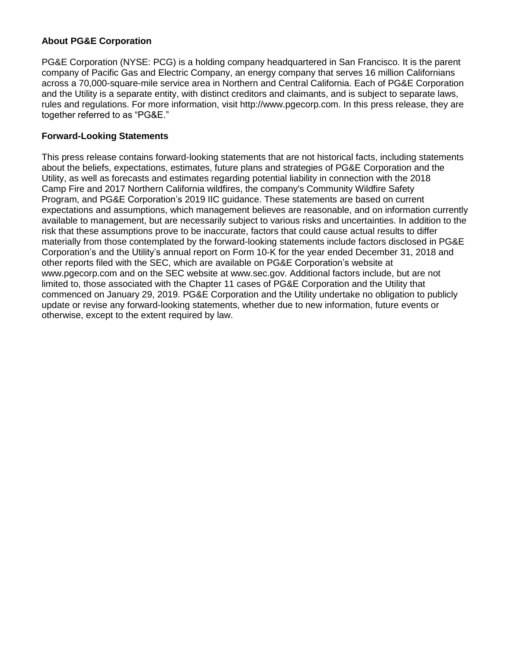#### **About PG&E Corporation**

PG&E Corporation (NYSE: PCG) is a holding company headquartered in San Francisco. It is the parent company of Pacific Gas and Electric Company, an energy company that serves 16 million Californians across a 70,000-square-mile service area in Northern and Central California. Each of PG&E Corporation and the Utility is a separate entity, with distinct creditors and claimants, and is subject to separate laws, rules and regulations. For more information, visit http://www.pgecorp.com. In this press release, they are together referred to as "PG&E."

#### **Forward-Looking Statements**

This press release contains forward-looking statements that are not historical facts, including statements about the beliefs, expectations, estimates, future plans and strategies of PG&E Corporation and the Utility, as well as forecasts and estimates regarding potential liability in connection with the 2018 Camp Fire and 2017 Northern California wildfires, the company's Community Wildfire Safety Program, and PG&E Corporation's 2019 IIC guidance. These statements are based on current expectations and assumptions, which management believes are reasonable, and on information currently available to management, but are necessarily subject to various risks and uncertainties. In addition to the risk that these assumptions prove to be inaccurate, factors that could cause actual results to differ materially from those contemplated by the forward-looking statements include factors disclosed in PG&E Corporation's and the Utility's annual report on Form 10-K for the year ended December 31, 2018 and other reports filed with the SEC, which are available on PG&E Corporation's website at www.pgecorp.com and on the SEC website at www.sec.gov. Additional factors include, but are not limited to, those associated with the Chapter 11 cases of PG&E Corporation and the Utility that commenced on January 29, 2019. PG&E Corporation and the Utility undertake no obligation to publicly update or revise any forward-looking statements, whether due to new information, future events or otherwise, except to the extent required by law.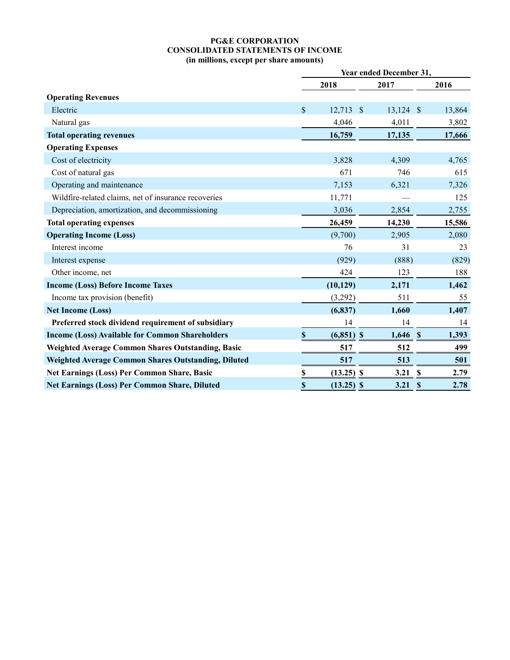#### **PG&E CORPORATION CONSOLIDATED STATEMENTS OF INCOME (in millions, except per share amounts)**

|                                                          | Year ended December 31, |              |               |             |  |        |
|----------------------------------------------------------|-------------------------|--------------|---------------|-------------|--|--------|
|                                                          |                         | 2018         |               | 2017        |  | 2016   |
| <b>Operating Revenues</b>                                |                         |              |               |             |  |        |
| Electric                                                 | \$                      | 12,713       | $\mathcal{S}$ | $13,124$ \$ |  | 13,864 |
| Natural gas                                              |                         | 4,046        |               | 4,011       |  | 3,802  |
| <b>Total operating revenues</b>                          |                         | 16,759       |               | 17,135      |  | 17,666 |
| <b>Operating Expenses</b>                                |                         |              |               |             |  |        |
| Cost of electricity                                      |                         | 3,828        |               | 4,309       |  | 4,765  |
| Cost of natural gas                                      |                         | 671          |               | 746         |  | 615    |
| Operating and maintenance                                |                         | 7,153        |               | 6,321       |  | 7,326  |
| Wildfire-related claims, net of insurance recoveries     |                         | 11,771       |               |             |  | 125    |
| Depreciation, amortization, and decommissioning          |                         | 3,036        |               | 2,854       |  | 2,755  |
| <b>Total operating expenses</b>                          |                         | 26,459       |               | 14,230      |  | 15,586 |
| <b>Operating Income (Loss)</b>                           |                         | (9,700)      |               | 2,905       |  | 2,080  |
| Interest income                                          |                         | 76           |               | 31          |  | 23     |
| Interest expense                                         |                         | (929)        |               | (888)       |  | (829)  |
| Other income, net                                        |                         | 424          |               | 123         |  | 188    |
| <b>Income (Loss) Before Income Taxes</b>                 |                         | (10, 129)    |               | 2,171       |  | 1,462  |
| Income tax provision (benefit)                           |                         | (3,292)      |               | 511         |  | 55     |
| <b>Net Income (Loss)</b>                                 |                         | (6, 837)     |               | 1,660       |  | 1,407  |
| Preferred stock dividend requirement of subsidiary       |                         | 14           |               | 14          |  | 14     |
| <b>Income (Loss) Available for Common Shareholders</b>   | $\mathbf S$             | $(6,851)$ \$ |               | $1,646$ \$  |  | 1,393  |
| <b>Weighted Average Common Shares Outstanding, Basic</b> |                         | 517          |               | 512         |  | 499    |
| Weighted Average Common Shares Outstanding, Diluted      |                         | 517          |               | 513         |  | 501    |
| <b>Net Earnings (Loss) Per Common Share, Basic</b>       | \$                      | $(13.25)$ \$ |               | 3.21 S      |  | 2.79   |
| <b>Net Earnings (Loss) Per Common Share, Diluted</b>     | \$                      | $(13.25)$ \$ |               | 3.21 S      |  | 2.78   |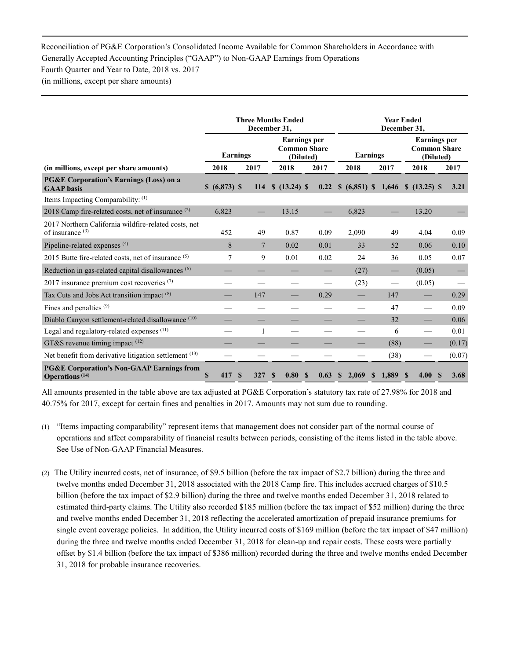#### Reconciliation of PG&E Corporation's Consolidated Income Available for Common Shareholders in Accordance with Generally Accepted Accounting Principles ("GAAP") to Non-GAAP Earnings from Operations Fourth Quarter and Year to Date, 2018 vs. 2017

(in millions, except per share amounts)

|                                                                                           | <b>Three Months Ended</b><br>December 31, |                |                                                         | <b>Year Ended</b><br>December 31, |                        |             |                                                         |                  |
|-------------------------------------------------------------------------------------------|-------------------------------------------|----------------|---------------------------------------------------------|-----------------------------------|------------------------|-------------|---------------------------------------------------------|------------------|
|                                                                                           |                                           | Earnings       | <b>Earnings</b> per<br><b>Common Share</b><br>(Diluted) |                                   | <b>Earnings</b>        |             | <b>Earnings</b> per<br><b>Common Share</b><br>(Diluted) |                  |
| (in millions, except per share amounts)                                                   | 2018                                      | 2017           | 2018                                                    | 2017                              | 2018                   | 2017        | 2018                                                    | 2017             |
| <b>PG&amp;E Corporation's Earnings (Loss) on a</b><br><b>GAAP</b> basis                   | \$ (6,873) \$                             | <b>114</b>     | $$ (13.24)$ \$                                          | 0.22                              | $$ (6,851) \$ 1,646$   |             | $$ (13.25)$ \$                                          | 3.21             |
| Items Impacting Comparability: $(1)$                                                      |                                           |                |                                                         |                                   |                        |             |                                                         |                  |
| 2018 Camp fire-related costs, net of insurance <sup>(2)</sup>                             | 6,823                                     |                | 13.15                                                   |                                   | 6,823                  |             | 13.20                                                   |                  |
| 2017 Northern California wildfire-related costs, net<br>of insurance $(3)$                | 452                                       | 49             | 0.87                                                    | 0.09                              | 2,090                  | 49          | 4.04                                                    | 0.09             |
| Pipeline-related expenses <sup>(4)</sup>                                                  | 8                                         | $\overline{7}$ | 0.02                                                    | 0.01                              | 33                     | 52          | 0.06                                                    | 0.10             |
| 2015 Butte fire-related costs, net of insurance (5)                                       | 7                                         | 9              | 0.01                                                    | 0.02                              | 24                     | 36          | 0.05                                                    | 0.07             |
| Reduction in gas-related capital disallowances <sup>(6)</sup>                             |                                           |                |                                                         |                                   | (27)                   |             | (0.05)                                                  |                  |
| 2017 insurance premium cost recoveries $(7)$                                              |                                           |                |                                                         |                                   | (23)                   |             | (0.05)                                                  |                  |
| Tax Cuts and Jobs Act transition impact (8)                                               |                                           | 147            |                                                         | 0.29                              |                        | 147         |                                                         | 0.29             |
| Fines and penalties $(9)$                                                                 |                                           |                |                                                         |                                   |                        | 47          |                                                         | 0.09             |
| Diablo Canyon settlement-related disallowance (10)                                        |                                           |                |                                                         |                                   |                        | 32          |                                                         | 0.06             |
| Legal and regulatory-related expenses (11)                                                |                                           | 1              |                                                         |                                   |                        | 6           | $\qquad \qquad$                                         | 0.01             |
| GT&S revenue timing impact $(12)$                                                         |                                           |                |                                                         |                                   |                        | (88)        |                                                         | (0.17)           |
| Net benefit from derivative litigation settlement (13)                                    |                                           |                |                                                         |                                   |                        | (38)        |                                                         | (0.07)           |
| <b>PG&amp;E Corporation's Non-GAAP Earnings from</b><br><b>Operations</b> <sup>(14)</sup> | $\mathbf S$<br>417                        | 327<br>S       | 0.80<br>S                                               | 0.63<br><b>S</b>                  | 2,069<br>$\mathbf{\$}$ | 1,889<br>S. | 4.00<br><b>S</b>                                        | 3.68<br><b>S</b> |

All amounts presented in the table above are tax adjusted at PG&E Corporation's statutory tax rate of 27.98% for 2018 and 40.75% for 2017, except for certain fines and penalties in 2017. Amounts may not sum due to rounding.

- (1) "Items impacting comparability" represent items that management does not consider part of the normal course of operations and affect comparability of financial results between periods, consisting of the items listed in the table above. See Use of Non-GAAP Financial Measures.
- (2) The Utility incurred costs, net of insurance, of \$9.5 billion (before the tax impact of \$2.7 billion) during the three and twelve months ended December 31, 2018 associated with the 2018 Camp fire. This includes accrued charges of \$10.5 billion (before the tax impact of \$2.9 billion) during the three and twelve months ended December 31, 2018 related to estimated third-party claims. The Utility also recorded \$185 million (before the tax impact of \$52 million) during the three and twelve months ended December 31, 2018 reflecting the accelerated amortization of prepaid insurance premiums for single event coverage policies. In addition, the Utility incurred costs of \$169 million (before the tax impact of \$47 million) during the three and twelve months ended December 31, 2018 for clean-up and repair costs. These costs were partially offset by \$1.4 billion (before the tax impact of \$386 million) recorded during the three and twelve months ended December 31, 2018 for probable insurance recoveries.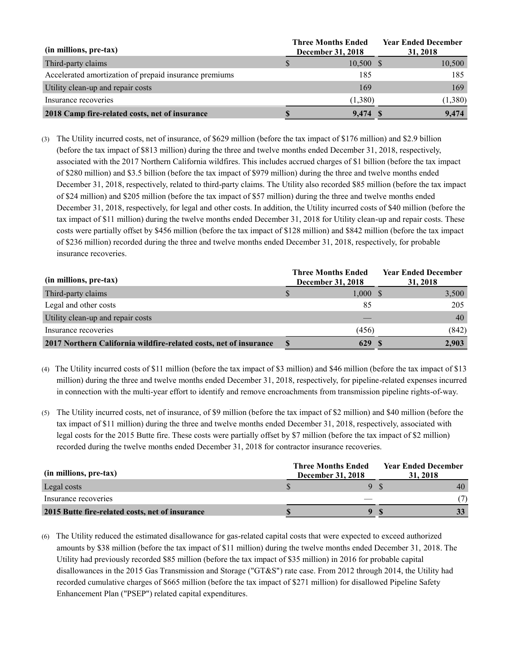| (in millions, pre-tax)                                 | <b>Three Months Ended</b><br><b>December 31, 2018</b> | <b>Year Ended December</b><br>31, 2018 |
|--------------------------------------------------------|-------------------------------------------------------|----------------------------------------|
| Third-party claims                                     | $10,500$ \$                                           | 10,500                                 |
| Accelerated amortization of prepaid insurance premiums | 185                                                   | 185                                    |
| Utility clean-up and repair costs                      | 169                                                   | 169                                    |
| Insurance recoveries                                   | (1,380)                                               | (1,380)                                |
| 2018 Camp fire-related costs, net of insurance         | 9.474 \$                                              | 9.474                                  |

(3) The Utility incurred costs, net of insurance, of \$629 million (before the tax impact of \$176 million) and \$2.9 billion (before the tax impact of \$813 million) during the three and twelve months ended December 31, 2018, respectively, associated with the 2017 Northern California wildfires. This includes accrued charges of \$1 billion (before the tax impact of \$280 million) and \$3.5 billion (before the tax impact of \$979 million) during the three and twelve months ended December 31, 2018, respectively, related to third-party claims. The Utility also recorded \$85 million (before the tax impact of \$24 million) and \$205 million (before the tax impact of \$57 million) during the three and twelve months ended December 31, 2018, respectively, for legal and other costs. In addition, the Utility incurred costs of \$40 million (before the tax impact of \$11 million) during the twelve months ended December 31, 2018 for Utility clean-up and repair costs. These costs were partially offset by \$456 million (before the tax impact of \$128 million) and \$842 million (before the tax impact of \$236 million) recorded during the three and twelve months ended December 31, 2018, respectively, for probable insurance recoveries.

| (in millions, pre-tax)                                            | <b>Three Months Ended</b><br><b>December 31, 2018</b> |     | <b>Year Ended December</b><br>31, 2018 |
|-------------------------------------------------------------------|-------------------------------------------------------|-----|----------------------------------------|
| Third-party claims                                                | 1,000S                                                |     | 3,500                                  |
| Legal and other costs                                             | 85                                                    |     | 205                                    |
| Utility clean-up and repair costs                                 |                                                       |     | 40                                     |
| Insurance recoveries                                              | (456)                                                 |     | (842)                                  |
| 2017 Northern California wildfire-related costs, net of insurance | 629                                                   | - 8 | 2,903                                  |

- (4) The Utility incurred costs of \$11 million (before the tax impact of \$3 million) and \$46 million (before the tax impact of \$13 million) during the three and twelve months ended December 31, 2018, respectively, for pipeline-related expenses incurred in connection with the multi-year effort to identify and remove encroachments from transmission pipeline rights-of-way.
- (5) The Utility incurred costs, net of insurance, of \$9 million (before the tax impact of \$2 million) and \$40 million (before the tax impact of \$11 million) during the three and twelve months ended December 31, 2018, respectively, associated with legal costs for the 2015 Butte fire. These costs were partially offset by \$7 million (before the tax impact of \$2 million) recorded during the twelve months ended December 31, 2018 for contractor insurance recoveries.

| (in millions, pre-tax)                          | <b>Three Months Ended</b><br>December 31, 2018 | <b>Year Ended December</b><br>31, 2018 |  |  |  |
|-------------------------------------------------|------------------------------------------------|----------------------------------------|--|--|--|
| Legal costs                                     |                                                |                                        |  |  |  |
| Insurance recoveries                            |                                                |                                        |  |  |  |
| 2015 Butte fire-related costs, net of insurance |                                                |                                        |  |  |  |

(6) The Utility reduced the estimated disallowance for gas-related capital costs that were expected to exceed authorized amounts by \$38 million (before the tax impact of \$11 million) during the twelve months ended December 31, 2018. The Utility had previously recorded \$85 million (before the tax impact of \$35 million) in 2016 for probable capital disallowances in the 2015 Gas Transmission and Storage ("GT&S") rate case. From 2012 through 2014, the Utility had recorded cumulative charges of \$665 million (before the tax impact of \$271 million) for disallowed Pipeline Safety Enhancement Plan ("PSEP") related capital expenditures.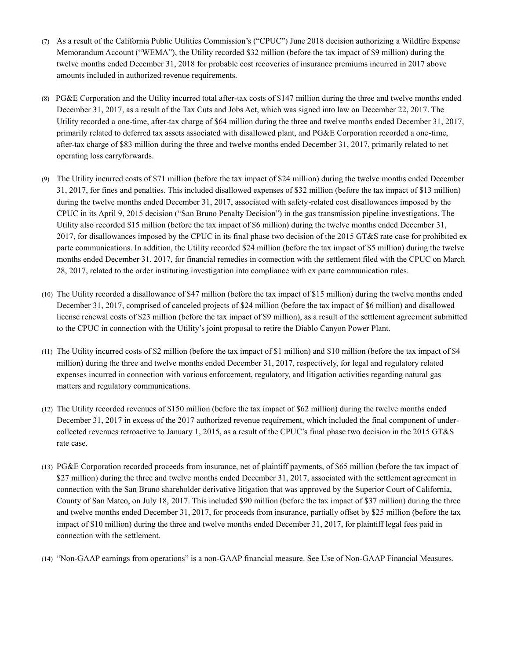- (7) As a result of the California Public Utilities Commission's ("CPUC") June 2018 decision authorizing a Wildfire Expense Memorandum Account ("WEMA"), the Utility recorded \$32 million (before the tax impact of \$9 million) during the twelve months ended December 31, 2018 for probable cost recoveries of insurance premiums incurred in 2017 above amounts included in authorized revenue requirements.
- (8) PG&E Corporation and the Utility incurred total after-tax costs of \$147 million during the three and twelve months ended December 31, 2017, as a result of the Tax Cuts and Jobs Act, which was signed into law on December 22, 2017. The Utility recorded a one-time, after-tax charge of \$64 million during the three and twelve months ended December 31, 2017, primarily related to deferred tax assets associated with disallowed plant, and PG&E Corporation recorded a one-time, after-tax charge of \$83 million during the three and twelve months ended December 31, 2017, primarily related to net operating loss carryforwards.
- (9) The Utility incurred costs of \$71 million (before the tax impact of \$24 million) during the twelve months ended December 31, 2017, for fines and penalties. This included disallowed expenses of \$32 million (before the tax impact of \$13 million) during the twelve months ended December 31, 2017, associated with safety-related cost disallowances imposed by the CPUC in its April 9, 2015 decision ("San Bruno Penalty Decision") in the gas transmission pipeline investigations. The Utility also recorded \$15 million (before the tax impact of \$6 million) during the twelve months ended December 31, 2017, for disallowances imposed by the CPUC in its final phase two decision of the 2015 GT&S rate case for prohibited ex parte communications. In addition, the Utility recorded \$24 million (before the tax impact of \$5 million) during the twelve months ended December 31, 2017, for financial remedies in connection with the settlement filed with the CPUC on March 28, 2017, related to the order instituting investigation into compliance with ex parte communication rules.
- (10) The Utility recorded a disallowance of \$47 million (before the tax impact of \$15 million) during the twelve months ended December 31, 2017, comprised of canceled projects of \$24 million (before the tax impact of \$6 million) and disallowed license renewal costs of \$23 million (before the tax impact of \$9 million), as a result of the settlement agreement submitted to the CPUC in connection with the Utility's joint proposal to retire the Diablo Canyon Power Plant.
- (11) The Utility incurred costs of \$2 million (before the tax impact of \$1 million) and \$10 million (before the tax impact of \$4 million) during the three and twelve months ended December 31, 2017, respectively, for legal and regulatory related expenses incurred in connection with various enforcement, regulatory, and litigation activities regarding natural gas matters and regulatory communications.
- (12) The Utility recorded revenues of \$150 million (before the tax impact of \$62 million) during the twelve months ended December 31, 2017 in excess of the 2017 authorized revenue requirement, which included the final component of undercollected revenues retroactive to January 1, 2015, as a result of the CPUC's final phase two decision in the 2015 GT&S rate case.
- (13) PG&E Corporation recorded proceeds from insurance, net of plaintiff payments, of \$65 million (before the tax impact of \$27 million) during the three and twelve months ended December 31, 2017, associated with the settlement agreement in connection with the San Bruno shareholder derivative litigation that was approved by the Superior Court of California, County of San Mateo, on July 18, 2017. This included \$90 million (before the tax impact of \$37 million) during the three and twelve months ended December 31, 2017, for proceeds from insurance, partially offset by \$25 million (before the tax impact of \$10 million) during the three and twelve months ended December 31, 2017, for plaintiff legal fees paid in connection with the settlement.
- (14) "Non-GAAP earnings from operations" is a non-GAAP financial measure. See Use of Non-GAAP Financial Measures.